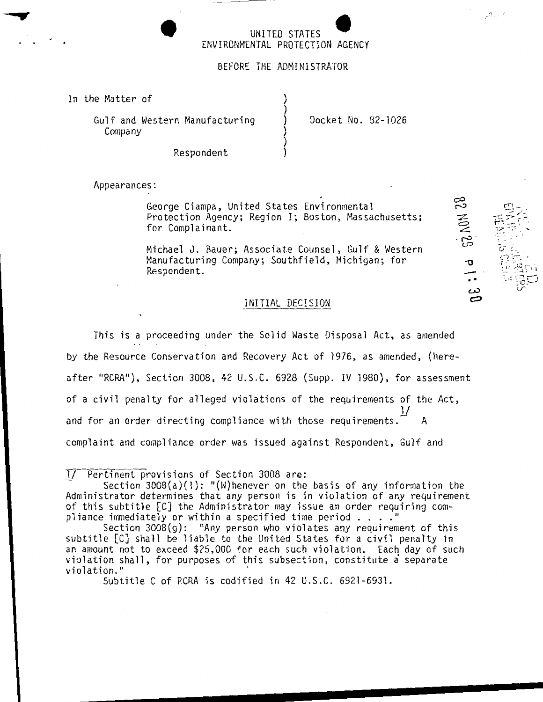# • UNITED STATES ENVIRONMENTAL PROTECTION AGENCY

# BEFORE THE ADMINISTRATOR

) ) ) ) ) )

In the Matter of

Gulf and Western Manufacturing Company

Docket No. 82-1026

82 MOV 29 P1:

, .... .:! \_ ·'

Respondent

Appearances:

George Ciampa, United States Environmental Protection Agency; Region I; Boston, Massachusetts; for Complainant.

Michael J. Bauer; Associate Counsel, Gulf & Western Manufacturing Company; Southfield, Michigan; for Respondent.

#### INITIAL DECISION

This is a proceeding under the Solid Waste Disposal Act, as amended by the Resource Conservation and Recovery Act of 1976, as amended, (here after "RCRA"), Section 3008, 42 U.S.C. 6928 (Supp. IV 1980), for assessment of a civil penalty for alleged violations of the requirements of the Act,  $1/$ and for an order directing compliance with those requirements. complaint and compliance order was issued against Respondent, Gulf and

*lJ* Pertinent provisions of Section 3008 are:

Section  $3008(a)(1)$ : "(W)henever on the basis of any information the Administrator determines that any person is in violation of any requirement of this subtitle [C] the Administrator may issue an order requiring com-<br>pliance immediately or within a specified time period ...."<br>Section 2009(c). "Any person who wielates any persimpant of this

Section 3008(g): "Any person who violates any requirement of this subtitle [C] shall be liable to the United States for a civil penalty in an amount not to exceed \$25,000 for each such violation. Each day of such violation shall, for purposes of this subsection, constitute a separate violation."

Subtitle C of RCRA is codified in 42 U.S.C. 6921-6931.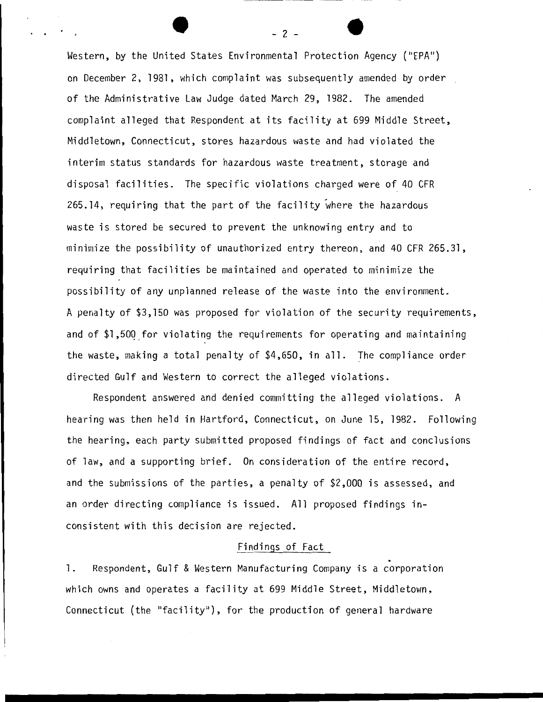Western, by the United States Environmental Protection Agency ("EPA") on December 2, 1981, which complaint was subsequently amended by order of the Administrative Law Judge dated March 29, 1982. The amended complaint alleged that Respondent at its facility at 699 Middle Street, Middletown, Connecticut, stores hazardous waste and had violated the interim status standards for hazardous waste treatment, storage and disposal facilities. The specific violations charged were of 40 CFR 265.14, requiring that the part of the facility where the hazardous waste is stored be secured to prevent the unknowing entry and to minimize the possibility of unauthorized entry thereon, and 40 CFR 265.31, requiring that facilities be maintained and operated to minimize the possibility of any unplanned release of the waste into the environment. A penalty of \$3,150 was proposed for violation of the security requirements, and of \$1,50Q\_for violating the requirements for operating and maintaining the waste, making a total penalty of \$4,650, in all. The compliance order directed Gulf and Western to correct the alleged violations.

Respondent answered and denied committing the alleged violations. A hearing was then held in Hartford, Connecticut, on June 15, 1982. Following the hearing, each party submitted proposed findings of fact and conclusions of law, and a supporting brief. On consideration of the entire record, and the submissions of the parties, a penalty of \$2,000 is assessed, and an order directing compliance is issued. All proposed findings inconsistent with this decision are rejected.

## Findings of Fact

1. Respondent, Gulf & Western Manufacturing Company is a corporation which owns and operates a facility at 699 Middle Street, Middletown, Connecticut (the "facility"), for the production of general hardware

- 2 -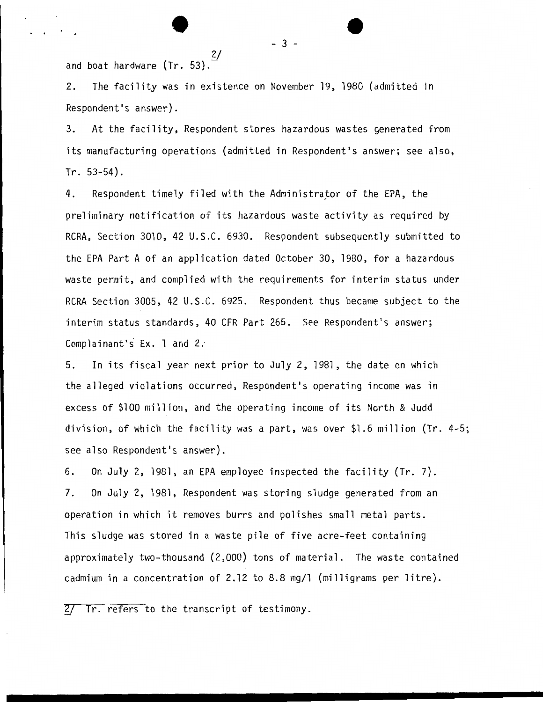2/ and boat hardware (Tr. 53).

e

2. The facility was in existence on November 19, 1980 (admitted in Respondent's answer).

3. At the facility, Respondent stores hazardous wastes generated from its manufacturing operations (admitted in Respondent's answer; see also, Tr. 53-54).

4. Respondent timely filed with the Administrator of the EPA, the preliminary notification of its hazardous waste activity as required by RCRA, Section 3010, 42 U.S.C. 6930. Respondent subsequently submitted to the EPA Part A of an application dated October 30, 1980, for a hazardous waste permit, and complied with the requirements for interim status under RCRA Section 3005, 42 U.S.C. 6925. Respondent thus became subject to the interim status standards, 40 CFR Part 265. See Respondent's answer; Complainant's  $Ex.$  1 and 2.

5. In its fiscal year next prior to July 2, 1981, the date on which the alleged violations occurred, Respondent's operating income was in excess of \$100 million, and the operating income of its North & Judd division, of which the facility was a part, was over \$1.6 million (Tr. 4-5; see also Respondent's answer).

6. On July 2, 1981, an EPA employee inspected the facility (Tr. 7). 7. On July 2, 1981, Respondent was storing sludge generated from an operation in which it removes burrs and polishes small metal parts. This sludge was stored in a waste pile of five acre-feet containing approximately two-thousand (2,000) tons of material. The waste contained cadmium in a concentration of 2.12 to 8.8 mg/1 (milligrams per litre).

 $2/$  Tr. refers to the transcript of testimony.

 $-3 -$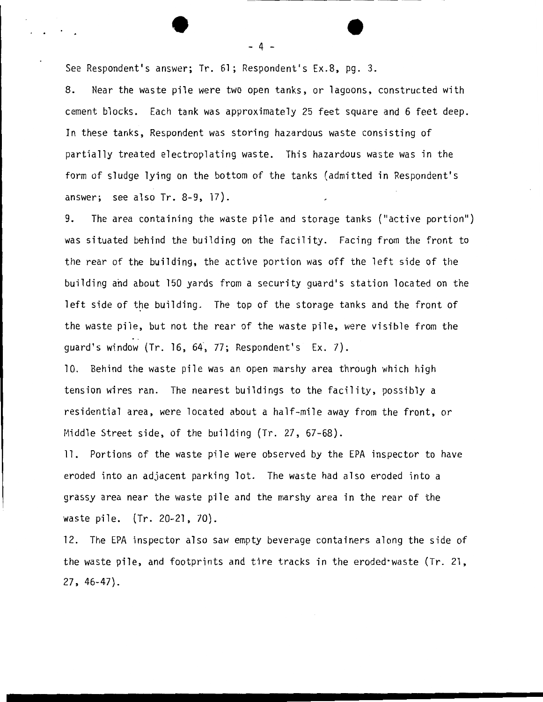See Respondent's answer; Tr. 61; Respondent's Ex.8, pg. 3.

8. Near the waste pile were two open tanks, or lagoons, constructed with cement blocks. Each tank was approximately 25 feet square and 6 feet deep. In these tanks, Respondent was storing hazardous waste consisting of partially treated electroplating waste. This hazardous waste was in the form of sludge lying on the bottom of the tanks (admitted in Respondent's answer; see also Tr. 8-9, 17).

- 4 -

9. The area containing the waste pile and storage tanks ("active portion") was situated behind the building on the facility. Facing from the front to the rear of the building, the active portion was off the left side of the building and about 150 yards from a security guard's station located on the left side of the building. The top of the storage tanks and the front of the waste pile, but not the rear of the waste pile, were visible from the guard's window (Tr. 16, 64·, 77; Respondent's Ex. 7).

10. Behind the waste pile was an open marshy area through which high tension wires ran. The nearest buildings to the facility, possibly a residential area, were located about a half-mile away from the front, or Middle Street side, of the building (Tr. 27, 67-68).

11. Portions of the waste pile were observed by the EPA inspector to have eroded into an adjacent parking lot. The waste had also eroded into a grassy area near the waste pile and the marshy area in the rear of the waste pile. (Tr. 20-21, 70).

12. The EPA inspector also saw empty beverage containers along the side of the waste pile, and footprints and tire tracks in the eroded·waste (Tr. 21, 27. 46-47).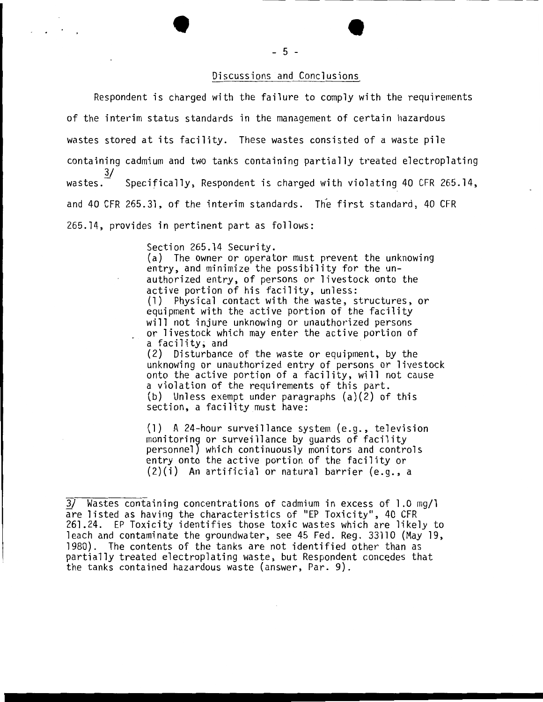# Discussions and Conclusions

Respondent is charged with the failure to comply with the requirements of the interim status standards in the management of certain hazardous wastes stored at its facility. These wastes consisted of a waste pile containing cadmium and two tanks containing partially treated electroplating wastes.<sup>3/</sup> Specifically, Respondent is charged with violating 40 CFR 265.14, and 40 CFR 265.31, of the interim standards. The first standard, 40 CFR 265.14, provides in pertinent part as follows:

Section 265.14 Security.

(a) The owner or operator must prevent the unknowing entry, and minimize the possibility for the unauthorized entry, of persons or livestock onto the active portion of his facility, unless: (l) Physical contact with the waste, structures, or equipment with the active portion of the facility will not injure unknowing or unauthorized persons or livestock which may enter the active portion of a facility; and

(2) Disturbance of the waste or equipment, by the unknowing or unauthorized entry of persons or livestock onto the active portion of a facility, will not cause a violation of the requirements of this part. (b) Unless exempt under paragraphs (a)(2) of this section, a facility must have:

(1) A 24-hour surveillance system (e.g., television personnel) which continuously monitors and controls entry onto the active portion of the facility or (2)(i) An artificial or natural barrier (e.g., a

<sup>3/</sup> Wastes containing concentrations of cadmium in excess of 1 .0 mg/1 are listed as having the characteristics of "EP Toxicity", 40 CFR 261.24. EP Toxicity identifies those toxic wastes which are likely to leach and contaminate the groundwater, see 45 Fed. Reg. 33110 (May 19, 1980). The contents of the tanks are not identified other than as partially treated electroplating waste, but Respondent concedes that the tanks contained hazardous waste (answer, Par. 9).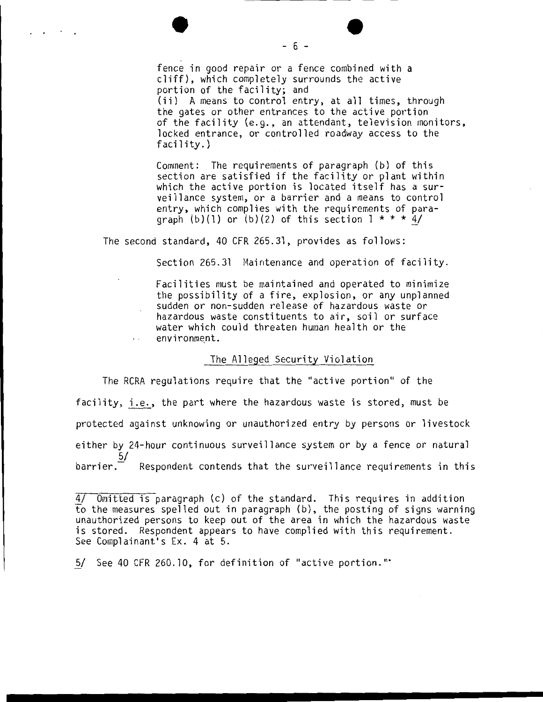fence in good repair or a fence combined with a cliff), which completely surrounds the active portion of the facility; and (ii) A means to control entry, at **all** times, through the gates or other entrances to the active portion of the facility (e.g., an attendant, television monitors, locked entrance, or controlled roadway access to the facility.)

Comment: The requirements of paragraph (b) of this section are satisfied if the facility or plant within which the active portion is located itself has a surveillance system, or a barrier and a means to control entry, which complies with the requirements of paragraph  $(b)(1)$  or  $(b)(2)$  of this section  $1 * * * 4/$ 

The second standard, 40 CFR 265.31, provides as follows:

 $\mathcal{L}^{\text{max}}$  ,  $\mathcal{L}^{\text{max}}$ 

Section 265.31 Maintenance and operation of facility.

Facilities must be maintained and operated to minimize the possibility of a fire, explosion, or any unplanned sudden or non-sudden release of hazardous waste or hazardous waste constituents to air, soil or surface water which could threaten human health or the environment.  $\mathbf{r}$  . The state  $\mathbf{r}$ 

#### The Alleged Security Violation

The RCRA regulations require that the "active portion" of the facility, i.e., the part where the hazardous waste is stored, must be protected against unknowing or unauthorized entry by persons or livestock either by 24-hour continuous surveillance system or by a fence or natural  $\frac{5}{ }$ barrier. Respondent contends that the surveillance requirements in this

5/ See 40 CFR 260.10, for definition of "active portion.""

- 6 -

<sup>4/</sup> Omitted is paragraph (c) of the standard. This requires in addition to the measures spelled out in paragraph (b), the posting of signs warning unauthorized persons to keep out of the area in which the hazardous waste is stored. Respondent appears to have complied with this requirement. See Complainant's Ex. 4 at 5.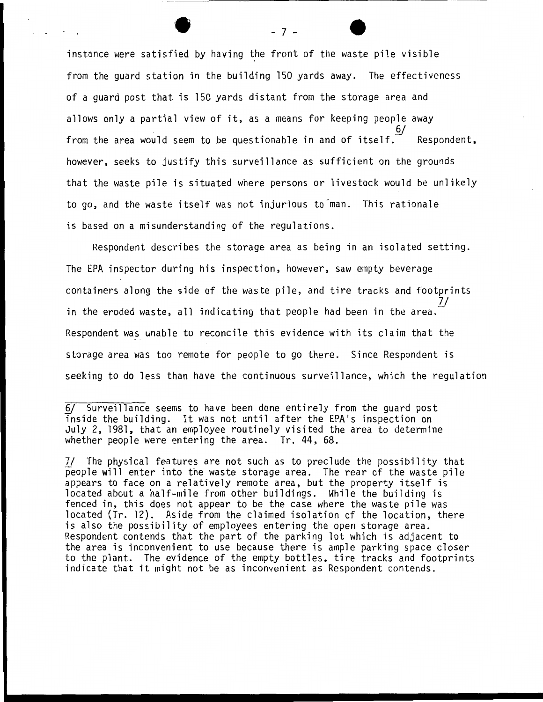instance were satisfied by having the front of the waste pile visible from the guard station in the building 150 yards away. The effectiveness of a guard post that is 150 yards distant from the storage area and allows only a partial view of it, as a means for keeping people away 6/ from the area would seem to be questionable in and of itself. $\vec{I}$  Respondent. however, seeks to justify this surveillance as sufficient on the grounds that the waste pile is situated where persons or livestock would be unlikely to go, and the waste itself was not injurious to'man. This rationale is based on a misunderstanding of the regulations.

Respondent describes the storage area as being in an isolated setting. The EPA inspector during his inspection, however, saw empty beverage containers along the side of the waste pile, and tire tracks and footprints in the eroded waste, all indicating that people had been in the area. Respondent was unable to reconcile this evidence with its claim that the storage area was too remote for people to go there. Since Respondent is seeking to do less than have the continuous surveillance, which the regulation

6/ Surveillance seems to have been done entirely from the guard post Tnside the building. It was not until after the EPA's inspection on July 2, 1981, that an employee routinely visited the area to determine whether people were entering the area. Tr. 44, 68.

7/ The physical features are not such as to preclude the possibility that people will enter into the waste storage area. The rear of the waste pile appears to face on a relatively remote area, but the property itself is located about a half-mile from other buildings. While the building is fenced in, this does not appear to be the case where the waste pile was located (Tr. 12). Aside from the claimed isolation of the location, there is also the possibility of employees entering the open storage area. Respondent contends that the part of the parking lot which is adjacent to the area is inconvenient to use because there is ample parking space closer to the plant. The evidence of the empty bottles, tire tracks and footprints indicate that it might not be as inconvenient as Respondent contends.

- 7 -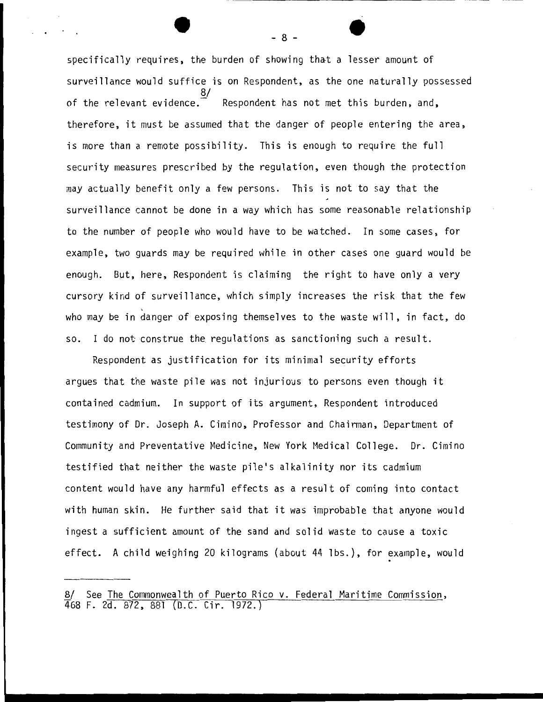specifically requires, the burden of showing that a lesser amount of surveillance would suffice is on Respondent, as the one naturally possessed 8/ of the relevant evidence.  $\tilde{ }$  Respondent has not met this burden, and, therefore, it must be assumed that the danger of people entering the area, is more than a remote possibility. This is enough to require the full security measures prescribed by the regulation, even though the protection may actually benefit only a few persons. This is not to say that the surveillance cannot be done in a way which has some reasonable relationship to the number of people who would have to be watched. In some cases, for example, two guards may be required while in other cases one guard would be enough. But, here, Respondent is claiming the right to have only a very cursory kind of surveillance, which simply increases the risk that the few who may be in danger of exposing themselves to the waste will, in fact, do so. I do not construe the regulations as sanctioning such a result.

Respondent as justification for its minimal security efforts argues that the waste pile was not injurious to persons even though it contained cadmium. In support of its argument, Respondent introduced testimony of Dr. Joseph A. Cimino, Professor and Chairman, Department of Community and Preventative Medicine, New York Medical College. Dr. Cimino testified that neither the waste pile's alkalinity nor its cadmium content would have any harmful effects as a result of coming into contact with human skin. He further said that it was improbable that anyone would ingest a sufficient amount of the sand and solid waste to cause a toxic effect. A child weighing 20 kilograms (about 44 lbs.), for example, would

- 8 -

<sup>8/</sup> See The Commonwealth of Puerto Rico v. Federal Maritime Commission, 468 F. 2d. 872, 881 (D.C. Cir. 1972.)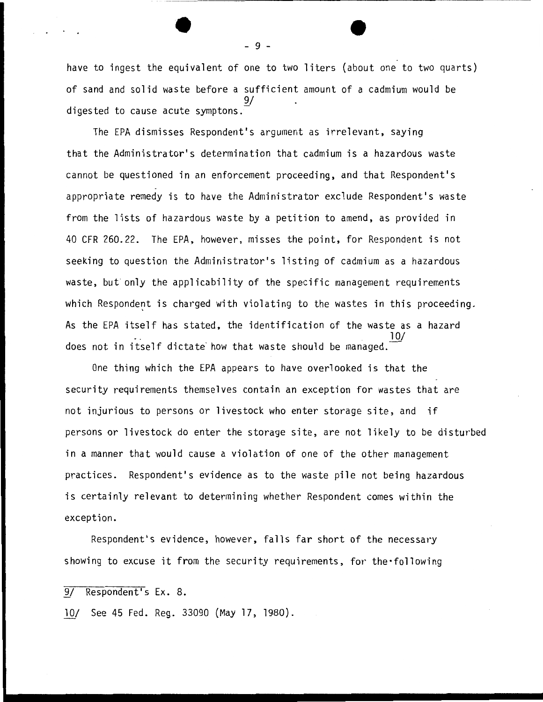have to ingest the equivalent of one to two liters (about one to two quarts) of sand and solid waste before a sufficient amount of a cadmium would be  $\overline{a}$ digested to cause acute symptons.

The EPA dismisses Respondent's argument as irrelevant, saying that the Administrator's determination that cadmium is a hazardous waste cannot be questioned in an enforcement proceeding, and that Respondent's appropriate remedy is to have the Administrator exclude Respondent's waste from the lists of hazardous waste by a petition to amend, as provided in 40 CFR 260.22. The EPA, however, misses the point, for Respondent is not seeking to question the Administrator's listing of cadmium as a hazardous waste, but only the applicability of the specific management requirements which Respondent is charged with violating to the wastes in this proceeding. As the EPA itself has stated, the identification of the waste as a hazard 10/ does not in itself dictate how that waste should be managed.

One thing which the EPA appears to have overlooked is that the security requirements themselves contain an exception for wastes that are not injurious to persons or livestock who enter storage site, and if persons or livestock do enter the storage site, are not likely to be disturbed in a manner that would cause a violation of one of the other management practices. Respondent's evidence as to the waste pile not being hazardous is certainly relevant to determining whether Respondent comes within the exception.

Respondent's evidence, however, falls far short of the necessary showing to excuse it from the security requirements, for the following

9/ Respondent's Ex. 8.

*lQ!* See 45 Fed. Reg. 33090 (May 17, 1980).

- 9 -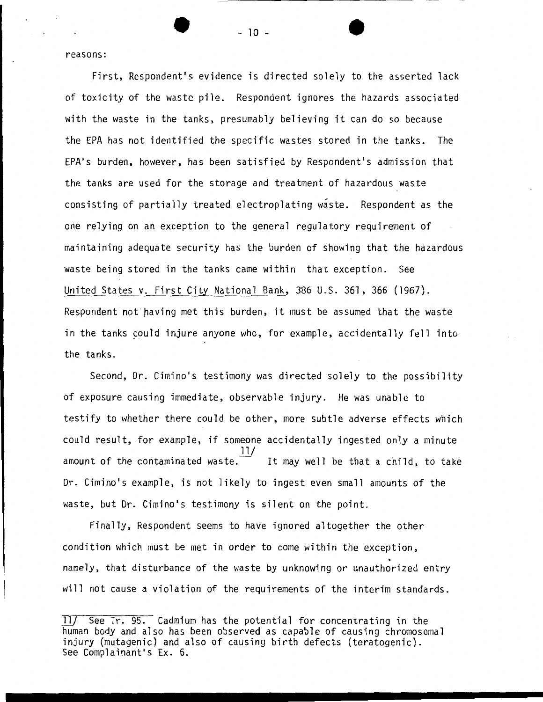reasons:

First, Respondent's evidence is directed solely to the asserted lack of toxicity of the waste pile. Respondent ignores the hazards associated with the waste in the tanks, presumably believing it can do so because the EPA has not identified the specific wastes stored in the tanks. The EPA's burden, however, has been satisfied by Respondent's admission that the tanks are used for the storage and treatment of hazardous waste consisting of partially treated electroplating waste. Respondent as the one relying on an exception to the general regulatory requirement of maintaining adequate security has the burden of showing that the hazardous waste being stored in the tanks came within that exception. See United States v. First City National Bank, 386 U.S. 361, 366 (1967). Respondent not having met this burden, it must be assumed that the waste in the tanks could injure anyone who, for example, accidentally fell into the tanks.

Second, Dr. Cimino's testimony was directed solely to the possibility of exposure causing immediate, observable injury. He was unable to testify to whether there could be other, more subtle adverse effects which could result, for example, if someone accidentally ingested only a minute amount of the contaminated waste.  $\frac{11}{1}$ It may well be that a child, to take. Dr. Cimino's example, is not likely to ingest even small amounts of the waste, but Dr. Cimino's testimony is silent on the point.

Finally, Respondent seems to have ignored altogether the other condition which must be met in order to come within the exception, namely, that disturbance of the waste by unknowing or unauthorized entry will not cause a violation of the requirements of the interim standards.

- 10 -

*lll* See Tr. 95. Cadmium has the potential for concentrating in the human body and also has been observed as capable of causing chromosomal injury (mutagenic) and also of causing birth defects (teratogenic). See Complainant's Ex. 6.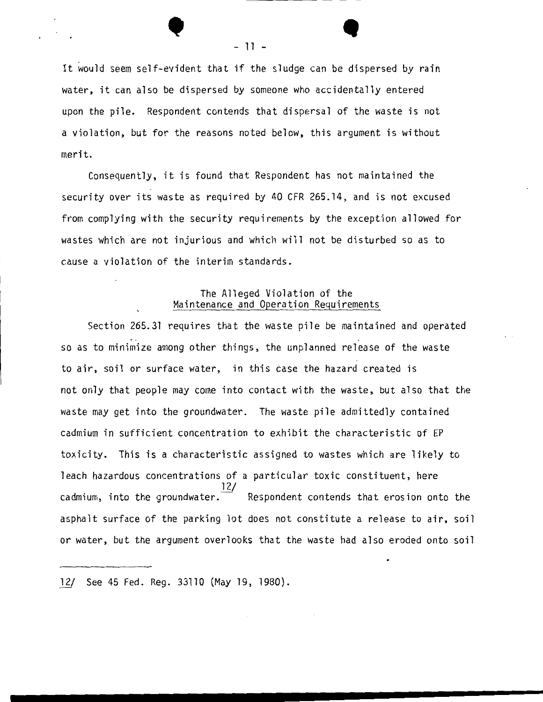It would seem self-evident that if the sludge can be dispersed by rain water, it can also be dispersed by someone who accidentally entered upon the pile. Respondent contends that dispersal of the waste is not a violation, but for the reasons noted below, this argument is without merit.

Consequently, it is found that Respondent has not maintained the security over its waste as required by 40 CFR 265.14, and is not excused from complying with the security requirements by the exception allowed for wastes which are not injurious and which will not be disturbed so as to cause a violation of the interim standards.

# The Alleged Violation of the Maintenance and Operation Requirements

Section 265.31 requires that the waste pile be maintained and operated so as to minimize among other things, the unplanned release of the waste to air, soil or surface water, in this case the hazard created is not only that people may come into contact with the waste, but also that the waste may get into the groundwater. The waste pile admittedly contained cadmium in sufficient concentration to exhibit the characteristic of EP toxicity. This is a characteristic assigned to wastes which are likely to leach hazardous concentrations of a particular toxic constituent, here 12/  $c$ admium, into the groundwater.  $\overline{\phantom{a}}$  Respondent contends that erosion onto the asphalt surface of the parking lot does not constitute a release to air, soil or water, but the argument overlooks that the waste had also eroded onto soil

*11/* See 45 Fed. Reg. 33110 (May 19, 1980).

• - 11 - •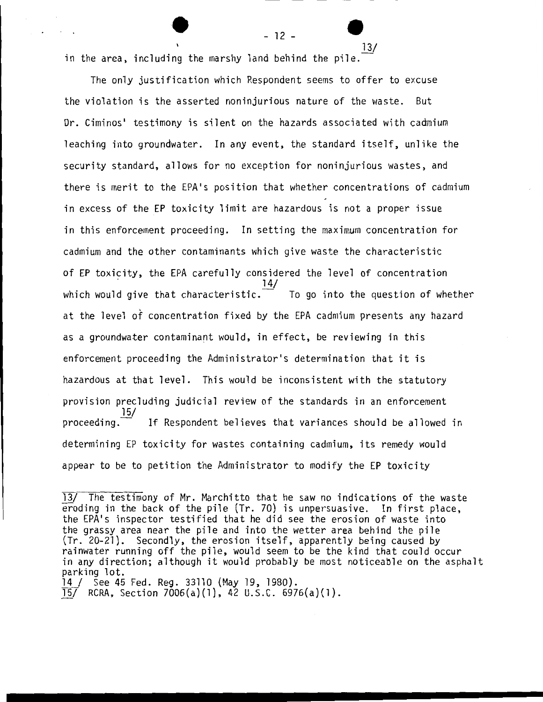$12 - \frac{13}{}$ in the area, including the marshy land behind the pile.  $\frac{13}{\sqrt{2}}$ 

The only justification which Respondent seems to offer to excuse the violation is the asserted noninjurious nature of the waste. But Dr. Ciminos' testimony is silent on the hazards associated with cadmium leaching into groundwater. In any event, the standard itself, unlike the security standard, allows for no exception for noninjurious wastes, and there is merit to the EPA's position that whether concentrations of cadmium in excess of the EP toxicity limit are hazardous is not a proper issue in this enforcement proceeding. In setting the maximum concentration for cadmium and the other contaminants which give waste the characteristic of EP toxicity, the EPA carefully considered the level of concentration 14/ which would give that characteristic. $\Box$  To go into the question of whether at the level of concentration fixed by the EPA cadmium presents any hazard as a groundwater contaminant would, in effect, be reviewing in this enforcement proceeding the Administrator's determination that it is hazardous at that level. This would be inconsistent with the statutory provision precluding judicial review of the standards in an enforcement 15/<br>- proceeding If Respondent believes that variances should be allowed in determining EP toxicity for wastes containing cadmium, its remedy would appear to be to petition the Administrator to modify the EP toxicity

<sup>13/</sup> The testimony of Mr. Marchitto that he saw no indications of the waste eroding in the back of the pile (Tr. 70) is unpersuasive. In first place, the EPA's inspector testified that he did see the erosion of waste into the grassy area near the pile and into the wetter area behind the pile (Tr. 20-21). Secondly, the erosion itself, apparently being caused by rainwater running off the pile, would seem to be the kind that could occur in any direction; although it would probably be most noticeable on the asphalt parking lot.

<sup>14 /</sup> See 45 Fed. Reg. 33110 (May 19, 1980).

<sup>15/</sup> RCRA, Section 7006(a)(l), 42 U.S.C. 6976(a)(l).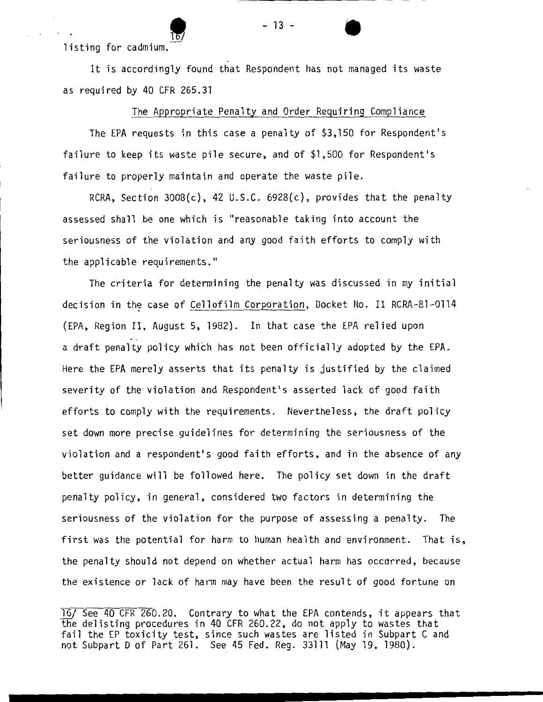listing for cadmium.

It is accordingly found that Respondent has not managed its waste as required by 40 CFR 265.31

The Appropriate Penalty and Order Requiring Compliance

The EPA requests in this case a penalty of \$3,150 for Respondent's failure to keep its waste pile secure, and of \$1,500 for Respondent's failure to properly maintain and operate the waste pile.

RCRA, Section 3008(c), 42 U.S.C. 6928(c), provides that the penalty assessed shall be one which is "reasonable taking into account the seriousness of the violation and any good faith efforts to comply with the applicable requirements."

The criteria for determining the penalty was discussed in my initial decision in the case of Cellofilm Corporation, Docket No. II RCRA-81-0114 (EPA, Region II, August 5, 1982). In that case the EPA relied upon a draft penalty policy which has not been officially adopted by the EPA. Here the EPA merely asserts that its penalty is justified by the claimed severity of the violation and Respondent's asserted lack of good faith efforts to comply with the requirements. Nevertheless, the draft policy set down more precise guidelines for determining the seriousness of the violation and a respondent's good faith efforts, and in the absence of any better guidance will be followed here. The policy set down in the draft penalty policy, in general, considered two factors in determining the seriousness of the violation for the purpose of assessing a penalty. The first was the potential for harm to human health and environment. That is, the penalty should not depend on whether actual harm has occurred, because the existence or lack of harm may have been the result of good fortune on

16/ See 40 CFR 260.20. Contrary to what the EPA contends, it appears that the delisting procedures in 40 CFR 260.22, do not apply to wastes that fail the EP toxicity test, since such wastes are listed in Subpart C and not Subpart D of Part 261. See 45 Fed. Reg. 33111 (May 19, 1980).

- 13 -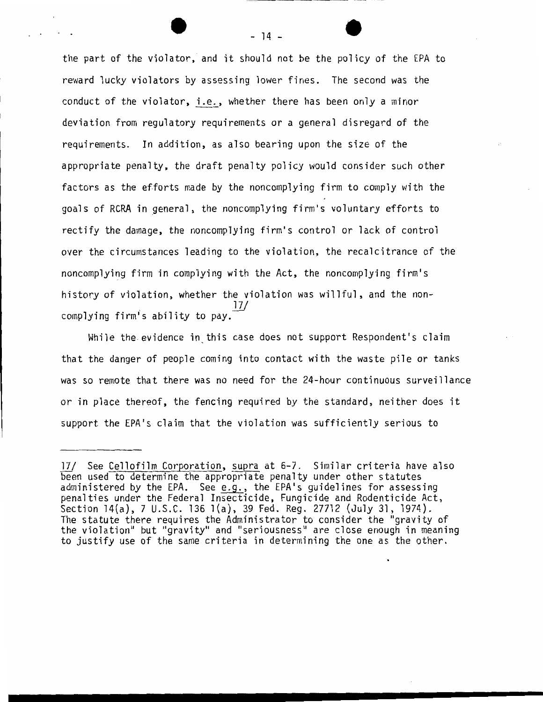the part of the violator, and it should not be the policy of the EPA to reward lucky violators by assessing lower fines. The second was the conduct of the violator, i.e., whether there has been only a minor deviation from regulatory requirements or a general disregard of the requirements. In addition, as also bearing upon the size of the appropriate penalty, the draft penalty policy would consider such other factors as the efforts made by the noncomplying firm to comply with the goals of RCRA in general, the noncomplying firm's voluntary efforts to rectify the damage, the noncomplying firm's control or lack of control over the circumstances leading to the violation, the recalcitrance of the noncomplying firm in complying with the Act, the noncomplying firm's history of violation, whether the violation was willful, and the non- $17/$ complying firm's ability to pay.

While the evidence in this case does not support Respondent's claim that the danger of people coming into contact with the waste pile or tanks was so remote that there was no need for the 24-hour continuous surveillance or in place thereof, the fencing required by the standard, neither does it support the EPA's claim that the violation was sufficiently serious to

*lZJ* See Cellofilm Corporation, supra at 6-7. Similar criteria have also been used to determine the appropriate penalty under other statutes administered by the EPA. See  $e.g.,$  the EPA's guidelines for assessing penalties under the Federal Insecticide, Fungicide and Rodenticide Act, Section 14(a), 7 U.S.C. 136 l(a), 39 Fed. Reg. 27712 (July 31, 1974). The statute there requires the Administrator to consider the "gravity of the violation" but "gravity" and "seriousness" are close enough in meaning to justify use of the same criteria in determining the one as the other.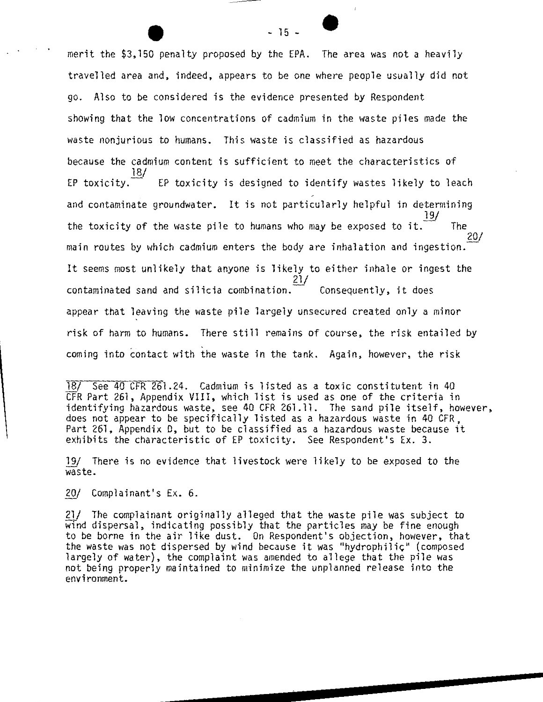merit the \$3,150 penalty proposed by the EPA. The area was not a heavily travelled area and, indeed, appears to be one where people usually did not go. Also to be considered is the evidence presented by Respondent showing that the low concentrations of cadmium in the waste piles made the waste nonjurious to humans. This waste is classified as hazardous because the cadmium content is sufficient to meet the characteristics of EP toxicity. EP toxicity is designed to identify wastes likely to leach and contaminate groundwater. It is not particularly helpful in determining 19/ the toxicity of the waste pile to humans who may be exposed to it.  $\overline{\phantom{a}}$  The 20/ main routes by which cadmium enters the body are inhalation and ingestion. It seems most unlikely that anyone is likely to either inhale or ingest the 21/  $contaminated$  sand and silicia combination.  $\overline{\phantom{a}}$  Consequently, it does appear that leaving the waste pile largely unsecured created only a minor risk of harm to humans. There still remains of course, the risk entailed by coming into contact with the waste in the tank. Again, however, the risk

18/ See 40 CFR 261.24. Cadmium is listed as a toxic constitutent in 40 CFR Part 261, Appendix VIII, which list is used as one of the criteria in identifying hazardous waste, see 40 CFR 261.11. The sand pile itself, however, does not appear to be specifically listed as a hazardous waste in 40 CFR, Part 261, Appendix 0, but to be classified as a hazardous waste because it exhibits the characteristic of EP toxicity. See Respondent's Ex. 3.

19/ There is no evidence that livestock were likely to be exposed to the waste.

20/ Complainant's Ex. 6.

21/ The complainant originally alleged that the waste pile was subject to wind dispersal, indicating possibly that the particles may be fine enough to be borne in the air like dust. On Respondent's objection, however, that<br>the waste was not dispersed by wind because it was "hydrophilic" (composed largely of water), the complaint was amended to allege that the pile was not being properly maintained to minimize the unplanned release into the environment.

 $-15 -$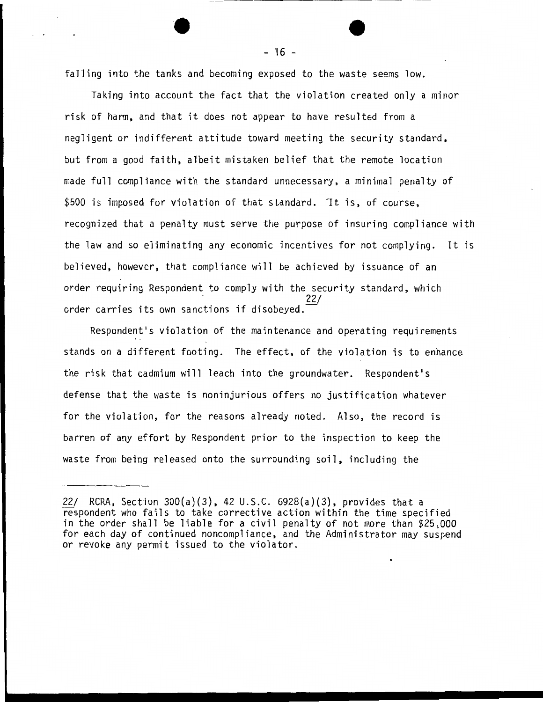falling into the tanks and becoming exposed to the waste seems low.

Taking into account the fact that the violation created only a minor risk of harm, and that it does not appear to have resulted from a negligent or indifferent attitude toward meeting the security standard, but from a good faith, albeit mistaken belief that the remote location made full compliance with the standard unnecessary, a minimal penalty of \$500 is imposed for violation of that standard. It is, of course, recognized that a penalty must serve the purpose of insuring compliance with the law and so eliminating any economic incentives for not complying. It is believed, however, that compliance will be achieved by issuance of an order requiring Respondent to comply with the security standard, which order carries its own sanctions if disobeyed.

Respondent's violation of the maintenance and operating requirements stands on a different footing. The effect, of the violation is to enhance the risk that cadmium will leach into the groundwater. Respondent's defense that the waste is noninjurious offers no justification whatever for the violation, for the reasons already noted. Also, the record is barren of any effort by Respondent prior to the inspection to keep the waste from being released onto the surrounding soil, including the

 $-16 -$ 

<sup>22/</sup> RCRA, Section 300(a)(3), 42 U.S.C. 6928(a)(3), provides that a respondent who fails to take corrective action within the time specified in the order shall be liable for a civil penalty of not more than \$25,000 for each day of continued noncompliance, and the Administrator may suspend or revoke any permit issued to the violator.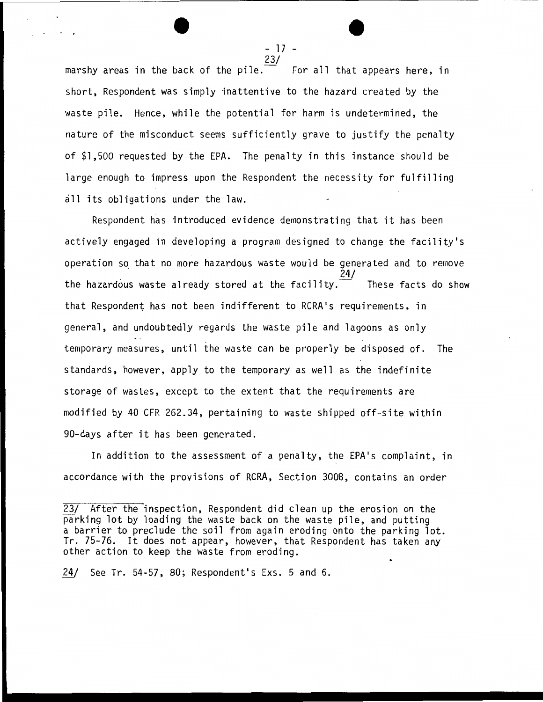- 17 -<br><u>23</u>/<br> For all that appears here, in marshy areas in the back of the pile. $\bar{ }$ short, Respondent was simply inattentive to the hazard created by the waste pile. Hence, while the potential for harm is undetermined, the nature of the misconduct seems sufficiently grave to justify the penalty of \$1,500 requested by the EPA. The penalty in this instance should be large enough to impress upon the Respondent the necessity for fulfilling all its obligations under the law.

Respondent has introduced evidence demonstrating that it has been actively engaged in developing a program designed to change the facility's operation *sq* that no more hazardous waste would be generated and to remove 24/ the hazardous waste already stored at the facility. These facts do show that Respondent has not been indifferent to RCRA•s requirements, in general, and undoubtedly regards the waste pile and lagoons as only temporary measures, until the waste can be properly be disposed of. The standards, however, apply to the temporary as well as the indefinite storage of wastes, except to the extent that the requirements are modified by 40 CFR 262.34, pertaining to waste shipped off-site within 90-days after it has been generated.

In addition to the assessment of a penalty, the EPA's complaint, in accordance with the provisions of RCRA, Section 3008, contains an order

24/ See Tr. 54-57, 80; Respondent's Exs. 5 and 6.

<sup>23/</sup> After the inspection, Respondent did clean up the erosion on the parking lot by loading the waste back on the waste pile, and putting a barrier to preclude the soil from again eroding onto the parking lot. Tr. 75-76. It does not appear, however, that Respondent has taken any other action to keep the waste from eroding.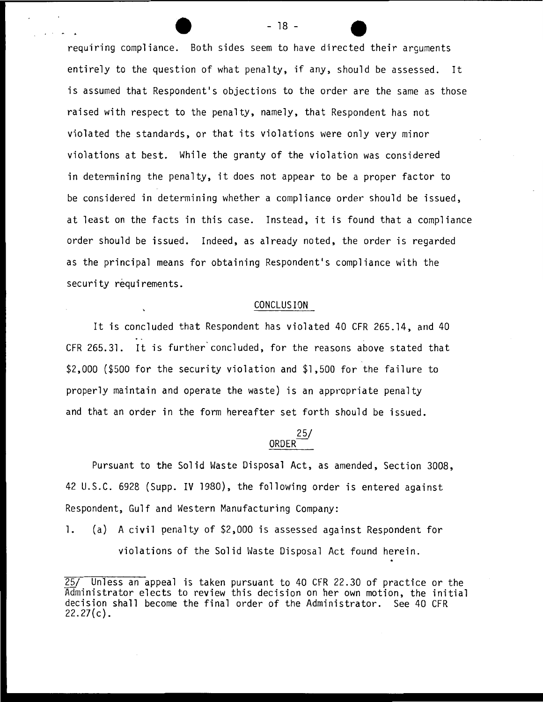requiring compliance. Both sides seem to have directed their arguments entirely to the question of what penalty, if any, should be assessed. It is assumed that Respondent's objections to the order are the same as those raised with respect to the penalty, namely, that Respondent has not violated the standards, or that its violations were only very minor violations at best. While the granty of the violation was considered in determining the penalty, it does not appear to be a proper factor to be considered in determining whether a compliance order should be issued, at least on the facts in this case. Instead, it is found that a compliance order should be issued. Indeed, as already noted, the order is regarded as the principal means for obtaining Respondent's compliance with the security requirements.

#### CONCLUSION

It is concluded that Respondent has violated 40 CFR 265.14, and 40 CFR 265.31. It is further concluded, for the reasons above stated that \$2,000 (\$500 for the security violation and \$1,500 for the failure to properly maintain and operate the waste) is an appropriate penalty and that an order in the form hereafter set forth should be issued.

#### 25/ ORDER<sup>-</sup>

Pursuant to the Solid Waste Disposal Act, as amended, Section 3008, 42 U.S.C. 6928 (Supp. IV 1980), the following order is entered against Respondent, Gulf and Western Manufacturing Company:

1. (a) A civil penalty of \$2,000 is assessed against Respondent for violations of the Solid Waste Disposal Act found herein.

- 18 -

<sup>25/</sup> Unless an appeal is taken pursuant to 40 CFR 22.30 of practice or the Administrator elects to review this decision on her own motion, the initial decision shall become the final order of the Administrator. See 40 CFR  $22.27(c)$ .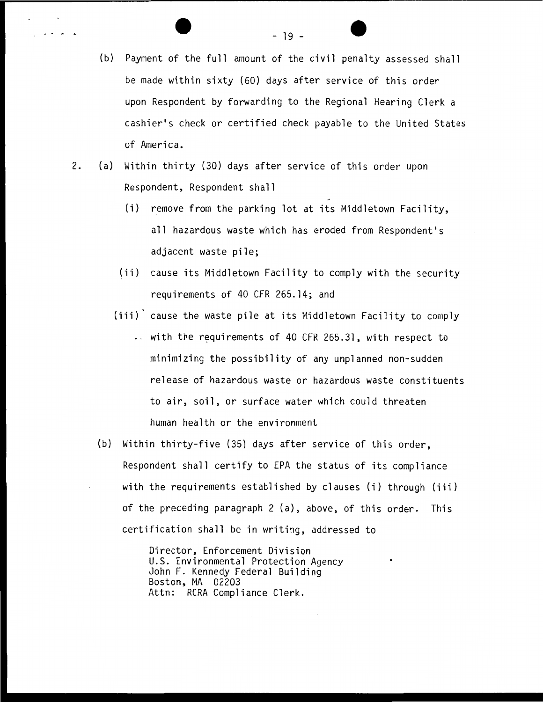- - 19 (b) Payment of the full amount of the civil penalty assessed shall be made within sixty (60) days after service of this order upon Respondent by forwarding to the Regional Hearing Clerk a cashier's check or certified check payable to the United States of America.
- 2. (a) Within thirty (30) days after service of this order upon Respondent, Respondent shall
	- (i) remove from the parking lot at its Middletown Facility, all hazardous waste which has eroded from Respondent's adjacent waste pile;
	- (ii) cause its Middletown Facility to comply with the security requirements of 40 CFR 265. 14; and
	- (iii) cause the waste pile at its Middletown Facility to comply
		- $\ldots$  with the requirements of 40 CFR 265.31, with respect to minimizing the possibility of any unplanned non-sudden release of hazardous waste or hazardous waste constituents to air, soil, or surface water which could threaten human health or the environment
	- (b) Within thirty-five (35) days after service of this order, Respondent shall certify to EPA the status of its compliance with the requirements established by clauses (i) through (iii) of the preceding paragraph 2 (a), above, of this order. This certification shall be in writing, addressed to

Director, Enforcement Division U.S. Environmental Protection Agency John F. Kennedy Federal Building Boston, MA 02203 Attn: RCRA Compliance Clerk.